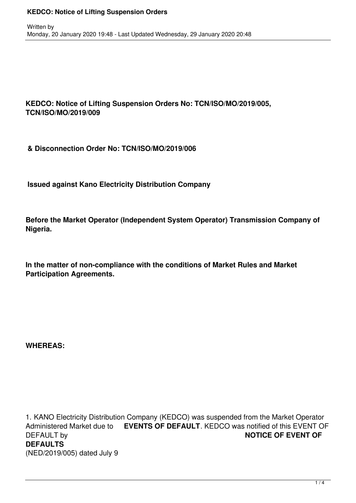## **KEDCO: Notice of Lifting Suspension Orders No: TCN/ISO/MO/2019/005, TCN/ISO/MO/2019/009**

**& Disconnection Order No: TCN/ISO/MO/2019/006**

**Issued against Kano Electricity Distribution Company** 

**Before the Market Operator (Independent System Operator) Transmission Company of Nigeria.**

**In the matter of non-compliance with the conditions of Market Rules and Market Participation Agreements.**

**WHEREAS:**

1. KANO Electricity Distribution Company (KEDCO) was suspended from the Market Operator Administered Market due to **EVENTS OF DEFAULT**. KEDCO was notified of this EVENT OF **DEFAULT by NOTICE OF EVENT OF DEFAULTS** (NED/2019/005) dated July 9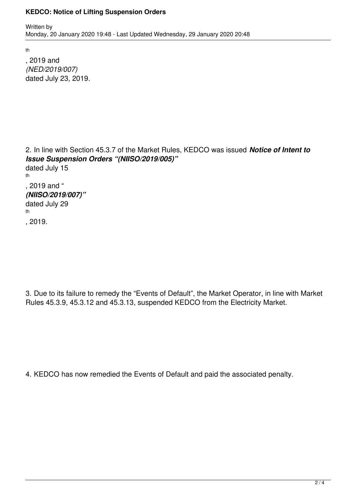#### **KEDCO: Notice of Lifting Suspension Orders**

th

, 2019 and *(NED/2019/007)* dated July 23, 2019.

2. In line with Section 45.3.7 of the Market Rules, KEDCO was issued *Notice of Intent to Issue Suspension Orders "(NIISO/2019/005)"* dated July 15 th , 2019 and " *(NIISO/2019/007)"*

dated July 29 th

, 2019.

3. Due to its failure to remedy the "Events of Default", the Market Operator, in line with Market Rules 45.3.9, 45.3.12 and 45.3.13, suspended KEDCO from the Electricity Market.

4. KEDCO has now remedied the Events of Default and paid the associated penalty.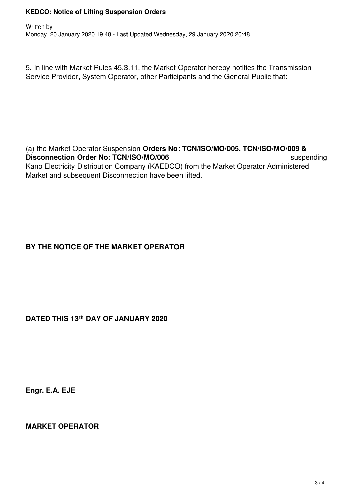### **KEDCO: Notice of Lifting Suspension Orders**

5. In line with Market Rules 45.3.11, the Market Operator hereby notifies the Transmission Service Provider, System Operator, other Participants and the General Public that:

(a) the Market Operator Suspension **Orders No: TCN/ISO/MO/005, TCN/ISO/MO/009 & Disconnection Order No: TCN/ISO/MO/006** Suspending suspending Kano Electricity Distribution Company (KAEDCO) from the Market Operator Administered Market and subsequent Disconnection have been lifted.

## **BY THE NOTICE OF THE MARKET OPERATOR**

**DATED THIS 13th DAY OF JANUARY 2020**

**Engr. E.A. EJE**

**MARKET OPERATOR**